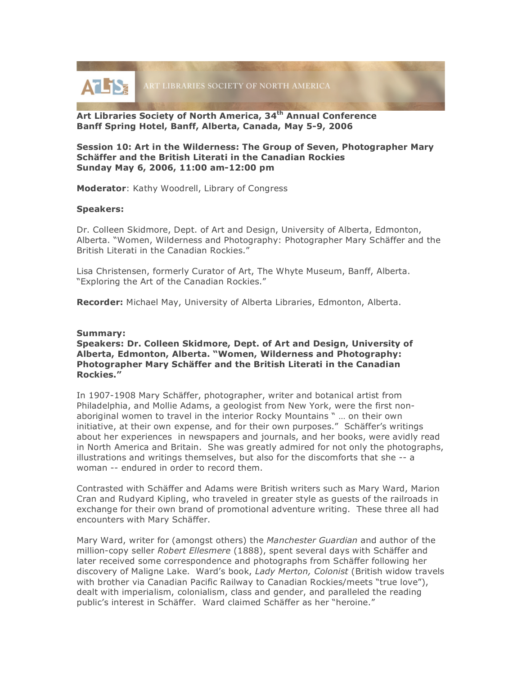

**Art Libraries Society of North America, 34th Annual Conference Banff Spring Hotel, Banff, Alberta, Canada, May 5-9, 2006**

**Session 10: Art in the Wilderness: The Group of Seven, Photographer Mary Schäffer and the British Literati in the Canadian Rockies Sunday May 6, 2006, 11:00 am-12:00 pm**

**Moderator**: Kathy Woodrell, Library of Congress

## **Speakers:**

Dr. Colleen Skidmore, Dept. of Art and Design, University of Alberta, Edmonton, Alberta. "Women, Wilderness and Photography: Photographer Mary Schäffer and the British Literati in the Canadian Rockies."

Lisa Christensen, formerly Curator of Art, The Whyte Museum, Banff, Alberta. "Exploring the Art of the Canadian Rockies."

**Recorder:** Michael May, University of Alberta Libraries, Edmonton, Alberta.

## **Summary:**

**Speakers: Dr. Colleen Skidmore, Dept. of Art and Design, University of Alberta, Edmonton, Alberta. "Women, Wilderness and Photography: Photographer Mary Schäffer and the British Literati in the Canadian Rockies."**

In 1907-1908 Mary Schäffer, photographer, writer and botanical artist from Philadelphia, and Mollie Adams, a geologist from New York, were the first nonaboriginal women to travel in the interior Rocky Mountains " … on their own initiative, at their own expense, and for their own purposes." Schäffer's writings about her experiences in newspapers and journals, and her books, were avidly read in North America and Britain. She was greatly admired for not only the photographs, illustrations and writings themselves, but also for the discomforts that she -- a woman -- endured in order to record them.

Contrasted with Schäffer and Adams were British writers such as Mary Ward, Marion Cran and Rudyard Kipling, who traveled in greater style as guests of the railroads in exchange for their own brand of promotional adventure writing. These three all had encounters with Mary Schäffer.

Mary Ward, writer for (amongst others) the *Manchester Guardian* and author of the million-copy seller *Robert Ellesmere* (1888), spent several days with Schäffer and later received some correspondence and photographs from Schäffer following her discovery of Maligne Lake. Ward's book, *Lady Merton, Colonist* (British widow travels with brother via Canadian Pacific Railway to Canadian Rockies/meets "true love"), dealt with imperialism, colonialism, class and gender, and paralleled the reading public's interest in Schäffer. Ward claimed Schäffer as her "heroine."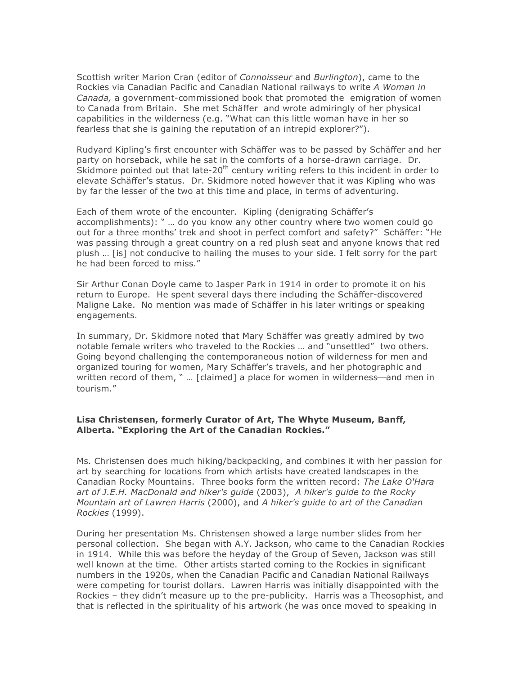Scottish writer Marion Cran (editor of *Connoisseur* and *Burlington*), came to the Rockies via Canadian Pacific and Canadian National railways to write *A Woman in Canada,* a government-commissioned book that promoted the emigration of women to Canada from Britain. She met Schäffer and wrote admiringly of her physical capabilities in the wilderness (e.g. "What can this little woman have in her so fearless that she is gaining the reputation of an intrepid explorer?").

Rudyard Kipling's first encounter with Schäffer was to be passed by Schäffer and her party on horseback, while he sat in the comforts of a horse-drawn carriage. Dr. Skidmore pointed out that late-20<sup>th</sup> century writing refers to this incident in order to elevate Schäffer's status. Dr. Skidmore noted however that it was Kipling who was by far the lesser of the two at this time and place, in terms of adventuring.

Each of them wrote of the encounter. Kipling (denigrating Schäffer's accomplishments): " … do you know any other country where two women could go out for a three months' trek and shoot in perfect comfort and safety?" Schäffer: "He was passing through a great country on a red plush seat and anyone knows that red plush … [is] not conducive to hailing the muses to your side. I felt sorry for the part he had been forced to miss."

Sir Arthur Conan Doyle came to Jasper Park in 1914 in order to promote it on his return to Europe. He spent several days there including the Schäffer-discovered Maligne Lake. No mention was made of Schäffer in his later writings or speaking engagements.

In summary, Dr. Skidmore noted that Mary Schäffer was greatly admired by two notable female writers who traveled to the Rockies … and "unsettled" two others. Going beyond challenging the contemporaneous notion of wilderness for men and organized touring for women, Mary Schäffer's travels, and her photographic and written record of them,  $" ...$  [claimed] a place for women in wilderness—and men in tourism."

## **Lisa Christensen, formerly Curator of Art, The Whyte Museum, Banff, Alberta. "Exploring the Art of the Canadian Rockies."**

Ms. Christensen does much hiking/backpacking, and combines it with her passion for art by searching for locations from which artists have created landscapes in the Canadian Rocky Mountains. Three books form the written record: *The Lake O'Hara art of J.E.H. MacDonald and hiker's guide* (2003), *A hiker's guide to the Rocky Mountain art of Lawren Harris* (2000), and *A hiker's guide to art of the Canadian Rockies* (1999).

During her presentation Ms. Christensen showed a large number slides from her personal collection. She began with A.Y. Jackson, who came to the Canadian Rockies in 1914. While this was before the heyday of the Group of Seven, Jackson was still well known at the time. Other artists started coming to the Rockies in significant numbers in the 1920s, when the Canadian Pacific and Canadian National Railways were competing for tourist dollars. Lawren Harris was initially disappointed with the Rockies – they didn't measure up to the pre-publicity. Harris was a Theosophist, and that is reflected in the spirituality of his artwork (he was once moved to speaking in